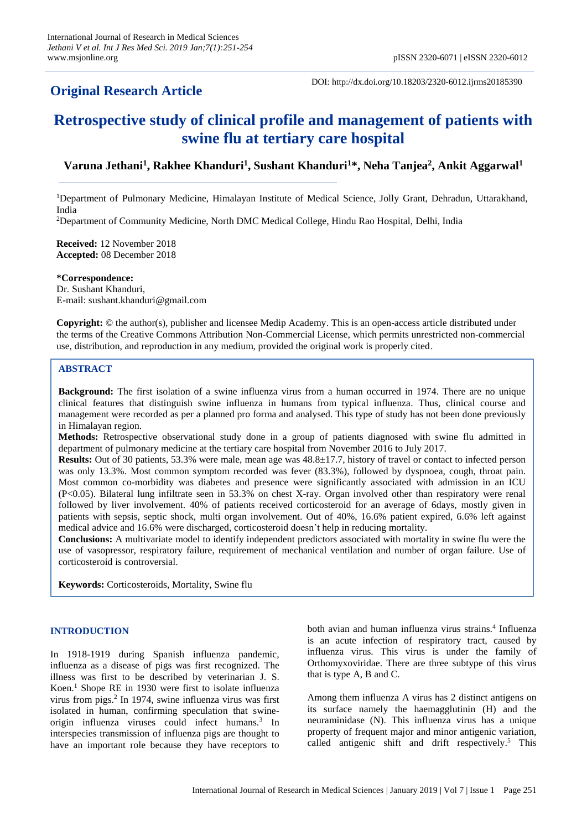## **Original Research Article**

DOI: http://dx.doi.org/10.18203/2320-6012.ijrms20185390

# **Retrospective study of clinical profile and management of patients with swine flu at tertiary care hospital**

## **Varuna Jethani<sup>1</sup> , Rakhee Khanduri<sup>1</sup> , Sushant Khanduri<sup>1</sup>\*, Neha Tanjea<sup>2</sup> , Ankit Aggarwal<sup>1</sup>**

<sup>1</sup>Department of Pulmonary Medicine, Himalayan Institute of Medical Science, Jolly Grant, Dehradun, Uttarakhand, India

<sup>2</sup>Department of Community Medicine, North DMC Medical College, Hindu Rao Hospital, Delhi, India

**Received:** 12 November 2018 **Accepted:** 08 December 2018

**\*Correspondence:** Dr. Sushant Khanduri, E-mail: sushant.khanduri@gmail.com

**Copyright:** © the author(s), publisher and licensee Medip Academy. This is an open-access article distributed under the terms of the Creative Commons Attribution Non-Commercial License, which permits unrestricted non-commercial use, distribution, and reproduction in any medium, provided the original work is properly cited.

#### **ABSTRACT**

**Background:** The first isolation of a swine influenza virus from a human occurred in 1974. There are no unique clinical features that distinguish swine influenza in humans from typical influenza. Thus, clinical course and management were recorded as per a planned pro forma and analysed. This type of study has not been done previously in Himalayan region.

**Methods:** Retrospective observational study done in a group of patients diagnosed with swine flu admitted in department of pulmonary medicine at the tertiary care hospital from November 2016 to July 2017.

**Results:** Out of 30 patients, 53.3% were male, mean age was 48.8±17.7, history of travel or contact to infected person was only 13.3%. Most common symptom recorded was fever (83.3%), followed by dyspnoea, cough, throat pain. Most common co-morbidity was diabetes and presence were significantly associated with admission in an ICU (P<0.05). Bilateral lung infiltrate seen in 53.3% on chest X-ray. Organ involved other than respiratory were renal followed by liver involvement. 40% of patients received corticosteroid for an average of 6days, mostly given in patients with sepsis, septic shock, multi organ involvement. Out of 40%, 16.6% patient expired, 6.6% left against medical advice and 16.6% were discharged, corticosteroid doesn't help in reducing mortality.

**Conclusions:** A multivariate model to identify independent predictors associated with mortality in swine flu were the use of vasopressor, respiratory failure, requirement of mechanical ventilation and number of organ failure. Use of corticosteroid is controversial.

**Keywords:** Corticosteroids, Mortality, Swine flu

#### **INTRODUCTION**

In 1918-1919 during Spanish influenza pandemic, influenza as a disease of pigs was first recognized. The illness was first to be described by veterinarian J. S. Koen. <sup>1</sup> Shope RE in 1930 were first to isolate influenza virus from pigs. 2 In 1974, swine influenza virus was first isolated in human, confirming speculation that swineorigin influenza viruses could infect humans.<sup>3</sup> In interspecies transmission of influenza pigs are thought to have an important role because they have receptors to

both avian and human influenza virus strains. 4 Influenza is an acute infection of respiratory tract, caused by influenza virus. This virus is under the family of Orthomyxoviridae. There are three subtype of this virus that is type A, B and C.

Among them influenza A virus has 2 distinct antigens on its surface namely the haemagglutinin (H) and the neuraminidase (N). This influenza virus has a unique property of frequent major and minor antigenic variation, called antigenic shift and drift respectively. <sup>5</sup> This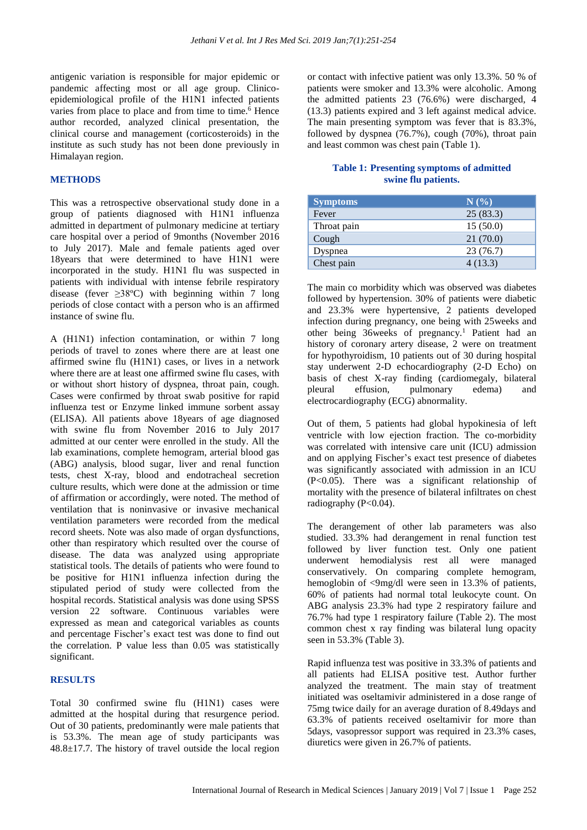antigenic variation is responsible for major epidemic or pandemic affecting most or all age group. Clinicoepidemiological profile of the H1N1 infected patients varies from place to place and from time to time. <sup>6</sup> Hence author recorded, analyzed clinical presentation, the clinical course and management (corticosteroids) in the institute as such study has not been done previously in Himalayan region.

#### **METHODS**

This was a retrospective observational study done in a group of patients diagnosed with H1N1 influenza admitted in department of pulmonary medicine at tertiary care hospital over a period of 9months (November 2016 to July 2017). Male and female patients aged over 18years that were determined to have H1N1 were incorporated in the study. H1N1 flu was suspected in patients with individual with intense febrile respiratory disease (fever  $\geq 38^{\circ}$ C) with beginning within 7 long periods of close contact with a person who is an affirmed instance of swine flu.

A (H1N1) infection contamination, or within 7 long periods of travel to zones where there are at least one affirmed swine flu (H1N1) cases, or lives in a network where there are at least one affirmed swine flu cases, with or without short history of dyspnea, throat pain, cough. Cases were confirmed by throat swab positive for rapid influenza test or Enzyme linked immune sorbent assay (ELISA). All patients above 18years of age diagnosed with swine flu from November 2016 to July 2017 admitted at our center were enrolled in the study. All the lab examinations, complete hemogram, arterial blood gas (ABG) analysis, blood sugar, liver and renal function tests, chest X-ray, blood and endotracheal secretion culture results, which were done at the admission or time of affirmation or accordingly, were noted. The method of ventilation that is noninvasive or invasive mechanical ventilation parameters were recorded from the medical record sheets. Note was also made of organ dysfunctions, other than respiratory which resulted over the course of disease. The data was analyzed using appropriate statistical tools. The details of patients who were found to be positive for H1N1 influenza infection during the stipulated period of study were collected from the hospital records. Statistical analysis was done using SPSS version 22 software. Continuous variables were expressed as mean and categorical variables as counts and percentage Fischer's exact test was done to find out the correlation. P value less than 0.05 was statistically significant.

#### **RESULTS**

Total 30 confirmed swine flu (H1N1) cases were admitted at the hospital during that resurgence period. Out of 30 patients, predominantly were male patients that is 53.3%. The mean age of study participants was 48.8±17.7. The history of travel outside the local region or contact with infective patient was only 13.3%. 50 % of patients were smoker and 13.3% were alcoholic. Among the admitted patients 23 (76.6%) were discharged, 4 (13.3) patients expired and 3 left against medical advice. The main presenting symptom was fever that is 83.3%, followed by dyspnea (76.7%), cough (70%), throat pain and least common was chest pain (Table 1).

#### **Table 1: Presenting symptoms of admitted swine flu patients.**

| <b>Symptoms</b> | $N(\%)$  |
|-----------------|----------|
| Fever           | 25(83.3) |
| Throat pain     | 15(50.0) |
| Cough           | 21(70.0) |
| Dyspnea         | 23(76.7) |
| Chest pain      | 4(13.3)  |

The main co morbidity which was observed was diabetes followed by hypertension. 30% of patients were diabetic and 23.3% were hypertensive, 2 patients developed infection during pregnancy, one being with 25weeks and other being 36weeks of pregnancy.<sup>1</sup> Patient had an history of coronary artery disease, 2 were on treatment for hypothyroidism, 10 patients out of 30 during hospital stay underwent 2-D echocardiography (2-D Echo) on basis of chest X-ray finding (cardiomegaly, bilateral pleural effusion, pulmonary edema) and electrocardiography (ECG) abnormality.

Out of them, 5 patients had global hypokinesia of left ventricle with low ejection fraction. The co-morbidity was correlated with intensive care unit (ICU) admission and on applying Fischer's exact test presence of diabetes was significantly associated with admission in an ICU (P<0.05). There was a significant relationship of mortality with the presence of bilateral infiltrates on chest radiography (P<0.04).

The derangement of other lab parameters was also studied. 33.3% had derangement in renal function test followed by liver function test. Only one patient underwent hemodialysis rest all were managed conservatively. On comparing complete hemogram, hemoglobin of <9mg/dl were seen in 13.3% of patients, 60% of patients had normal total leukocyte count. On ABG analysis 23.3% had type 2 respiratory failure and 76.7% had type 1 respiratory failure (Table 2). The most common chest x ray finding was bilateral lung opacity seen in 53.3% (Table 3).

Rapid influenza test was positive in 33.3% of patients and all patients had ELISA positive test. Author further analyzed the treatment. The main stay of treatment initiated was oseltamivir administered in a dose range of 75mg twice daily for an average duration of 8.49days and 63.3% of patients received oseltamivir for more than 5days, vasopressor support was required in 23.3% cases, diuretics were given in 26.7% of patients.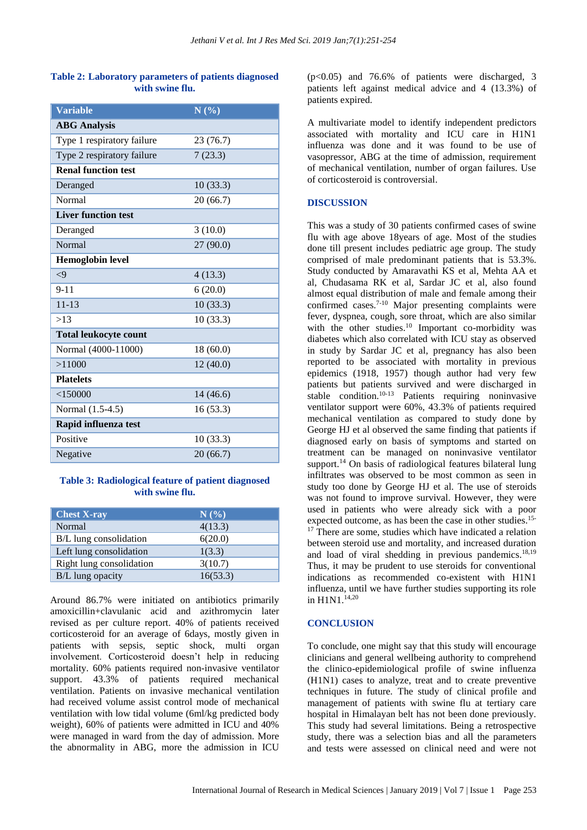#### **Table 2: Laboratory parameters of patients diagnosed with swine flu.**

| <b>Variable</b>              | N(%)      |
|------------------------------|-----------|
| <b>ABG</b> Analysis          |           |
| Type 1 respiratory failure   | 23 (76.7) |
| Type 2 respiratory failure   | 7(23.3)   |
| <b>Renal function test</b>   |           |
| Deranged                     | 10(33.3)  |
| <b>Normal</b>                | 20(66.7)  |
| <b>Liver function test</b>   |           |
| Deranged                     | 3(10.0)   |
| Normal                       | 27(90.0)  |
| <b>Hemoglobin level</b>      |           |
| $\leq$ 9                     | 4(13.3)   |
| $9 - 11$                     | 6(20.0)   |
| $11 - 13$                    | 10(33.3)  |
| >13                          | 10(33.3)  |
| <b>Total leukocyte count</b> |           |
| Normal (4000-11000)          | 18 (60.0) |
| >11000                       | 12 (40.0) |
| <b>Platelets</b>             |           |
| $<$ 150000                   | 14 (46.6) |
| Normal (1.5-4.5)             | 16(53.3)  |
| Rapid influenza test         |           |
| Positive                     | 10(33.3)  |
| Negative                     | 20(66.7)  |

#### **Table 3: Radiological feature of patient diagnosed with swine flu.**

| <b>Chest X-ray</b>       | $\mathbf{N}(\mathscr{Y}_0)$ |
|--------------------------|-----------------------------|
| Normal                   | 4(13.3)                     |
| B/L lung consolidation   | 6(20.0)                     |
| Left lung consolidation  | 1(3.3)                      |
| Right lung consolidation | 3(10.7)                     |
| B/L lung opacity         | 16(53.3)                    |

Around 86.7% were initiated on antibiotics primarily amoxicillin+clavulanic acid and azithromycin later revised as per culture report. 40% of patients received corticosteroid for an average of 6days, mostly given in patients with sepsis, septic shock, multi organ involvement. Corticosteroid doesn't help in reducing mortality. 60% patients required non-invasive ventilator support. 43.3% of patients required mechanical ventilation. Patients on invasive mechanical ventilation had received volume assist control mode of mechanical ventilation with low tidal volume (6ml/kg predicted body weight), 60% of patients were admitted in ICU and 40% were managed in ward from the day of admission. More the abnormality in ABG, more the admission in ICU

(p<0.05) and 76.6% of patients were discharged, 3 patients left against medical advice and 4 (13.3%) of patients expired.

A multivariate model to identify independent predictors associated with mortality and ICU care in H1N1 influenza was done and it was found to be use of vasopressor, ABG at the time of admission, requirement of mechanical ventilation, number of organ failures. Use of corticosteroid is controversial.

### **DISCUSSION**

This was a study of 30 patients confirmed cases of swine flu with age above 18years of age. Most of the studies done till present includes pediatric age group. The study comprised of male predominant patients that is 53.3%. Study conducted by Amaravathi KS et al, Mehta AA et al, Chudasama RK et al, Sardar JC et al, also found almost equal distribution of male and female among their confirmed cases.7-10 Major presenting complaints were fever, dyspnea, cough, sore throat, which are also similar with the other studies. <sup>10</sup> Important co-morbidity was diabetes which also correlated with ICU stay as observed in study by Sardar JC et al, pregnancy has also been reported to be associated with mortality in previous epidemics (1918, 1957) though author had very few patients but patients survived and were discharged in stable condition.<sup>10-13</sup> Patients requiring noninvasive ventilator support were 60%, 43.3% of patients required mechanical ventilation as compared to study done by George HJ et al observed the same finding that patients if diagnosed early on basis of symptoms and started on treatment can be managed on noninvasive ventilator support.<sup>14</sup> On basis of radiological features bilateral lung infiltrates was observed to be most common as seen in study too done by George HJ et al. The use of steroids was not found to improve survival. However, they were used in patients who were already sick with a poor expected outcome, as has been the case in other studies. 15- <sup>17</sup> There are some, studies which have indicated a relation between steroid use and mortality, and increased duration and load of viral shedding in previous pandemics. 18,19 Thus, it may be prudent to use steroids for conventional indications as recommended co-existent with H1N1 influenza, until we have further studies supporting its role in H1N1.14,20

## **CONCLUSION**

To conclude, one might say that this study will encourage clinicians and general wellbeing authority to comprehend the clinico-epidemiological profile of swine influenza (H1N1) cases to analyze, treat and to create preventive techniques in future. The study of clinical profile and management of patients with swine flu at tertiary care hospital in Himalayan belt has not been done previously. This study had several limitations. Being a retrospective study, there was a selection bias and all the parameters and tests were assessed on clinical need and were not